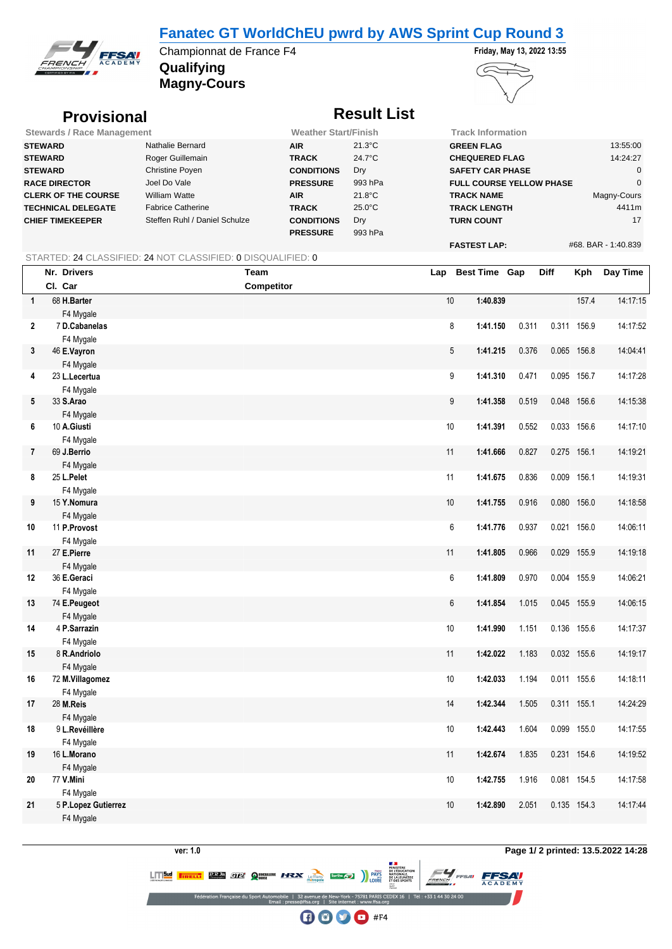## **Fanatec GT WorldChEU pwrd by AWS Sprint Cup Round 3**



**Qualifying** Championnat de France F4 **Friday, May 13, 2022 13:55** 

**Magny-Cours**



## **Provisional** *Result List*

| <b>Stewards / Race Management</b> |                               | <b>Weather Start/Finish</b> |                  | <b>Track Information</b>        |                     |
|-----------------------------------|-------------------------------|-----------------------------|------------------|---------------------------------|---------------------|
| <b>STEWARD</b>                    | Nathalie Bernard              | <b>AIR</b>                  | $21.3^{\circ}$ C | <b>GREEN FLAG</b>               | 13:55:00            |
| <b>STEWARD</b>                    | Roger Guillemain              | <b>TRACK</b>                | 24.7°C           | <b>CHEQUERED FLAG</b>           | 14:24:27            |
| <b>STEWARD</b>                    | Christine Poyen               | <b>CONDITIONS</b>           | Dry              | <b>SAFETY CAR PHASE</b>         |                     |
| <b>RACE DIRECTOR</b>              | Joel Do Vale                  | <b>PRESSURE</b>             | 993 hPa          | <b>FULL COURSE YELLOW PHASE</b> |                     |
| <b>CLERK OF THE COURSE</b>        | William Watte                 | <b>AIR</b>                  | $21.8^{\circ}$ C | <b>TRACK NAME</b>               | Magny-Cours         |
| <b>TECHNICAL DELEGATE</b>         | <b>Fabrice Catherine</b>      | <b>TRACK</b>                | $25.0^{\circ}$ C | <b>TRACK LENGTH</b>             | 4411m               |
| <b>CHIEF TIMEKEEPER</b>           | Steffen Ruhl / Daniel Schulze | <b>CONDITIONS</b>           | Dry              | <b>TURN COUNT</b>               | 17                  |
|                                   |                               | <b>PRESSURE</b>             | 993 hPa          |                                 |                     |
|                                   |                               |                             |                  | <b>FASTEST LAP:</b>             | #68, BAR - 1:40.839 |

#### STARTED: 24 CLASSIFIED: 24 NOT CLASSIFIED: 0 DISQUALIFIED: 0

|                | Nr. Drivers                      | Team              | Lap  | <b>Best Time Gap</b> |       | Diff  | Kph         | Day Time |
|----------------|----------------------------------|-------------------|------|----------------------|-------|-------|-------------|----------|
|                | Cl. Car                          | <b>Competitor</b> |      |                      |       |       |             |          |
| $\mathbf{1}$   | 68 H.Barter                      |                   | $10$ | 1:40.839             |       |       | 157.4       | 14:17:15 |
|                | F4 Mygale                        |                   |      |                      |       |       |             |          |
| $\mathbf{2}$   | 7 D.Cabanelas                    |                   | 8    | 1:41.150             | 0.311 |       | 0.311 156.9 | 14:17:52 |
|                | F4 Mygale                        |                   |      |                      |       |       |             |          |
| 3              | 46 E.Vayron                      |                   | 5    | 1:41.215             | 0.376 |       | 0.065 156.8 | 14:04:41 |
|                | F4 Mygale                        |                   |      |                      |       |       |             |          |
| 4              | 23 L.Lecertua                    |                   | 9    | 1:41.310             | 0.471 |       | 0.095 156.7 | 14:17:28 |
|                | F4 Mygale                        |                   |      |                      |       |       |             |          |
| 5              | 33 S.Arao                        |                   | 9    | 1:41.358             | 0.519 |       | 0.048 156.6 | 14:15:38 |
|                | F4 Mygale                        |                   |      |                      |       |       |             |          |
| 6              | 10 A.Giusti                      |                   | 10   | 1:41.391             | 0.552 |       | 0.033 156.6 | 14:17:10 |
|                | F4 Mygale                        |                   |      |                      |       |       |             |          |
| $\overline{7}$ | 69 J.Berrio                      |                   | 11   | 1:41.666             | 0.827 |       | 0.275 156.1 | 14:19:21 |
|                | F4 Mygale                        |                   |      |                      |       |       |             |          |
| 8              | 25 L.Pelet                       |                   | 11   | 1:41.675             | 0.836 |       | 0.009 156.1 | 14:19:31 |
|                | F4 Mygale                        |                   |      |                      |       |       |             |          |
| 9              | 15 Y.Nomura                      |                   | $10$ | 1:41.755             | 0.916 | 0.080 | 156.0       | 14:18:58 |
|                | F4 Mygale                        |                   |      |                      |       |       |             |          |
| 10             | 11 P.Provost                     |                   | 6    | 1:41.776             | 0.937 |       | 0.021 156.0 | 14:06:11 |
|                | F4 Mygale                        |                   |      |                      |       |       |             |          |
| 11             | 27 E.Pierre                      |                   | 11   | 1:41.805             | 0.966 |       | 0.029 155.9 | 14:19:18 |
|                | F4 Mygale                        |                   |      |                      |       |       |             |          |
| 12             | 36 E.Geraci                      |                   | 6    | 1:41.809             | 0.970 |       | 0.004 155.9 | 14:06:21 |
|                | F4 Mygale                        |                   |      |                      |       |       |             |          |
| 13             | 74 E.Peugeot                     |                   | 6    | 1:41.854             | 1.015 |       | 0.045 155.9 | 14:06:15 |
|                | F4 Mygale                        |                   |      |                      |       |       |             |          |
| 14             | 4 P.Sarrazin                     |                   | $10$ | 1:41.990             | 1.151 |       | 0.136 155.6 | 14:17:37 |
|                | F4 Mygale                        |                   |      |                      |       |       |             |          |
| 15             | 8 R.Andriolo                     |                   | 11   | 1:42.022             | 1.183 |       | 0.032 155.6 | 14:19:17 |
|                | F4 Mygale                        |                   |      |                      |       |       |             |          |
| 16             | 72 M.Villagomez                  |                   | 10   | 1:42.033             | 1.194 |       | 0.011 155.6 | 14:18:11 |
|                | F4 Mygale                        |                   | 14   |                      |       |       |             |          |
| 17             | 28 M.Reis                        |                   |      | 1:42.344             | 1.505 |       | 0.311 155.1 | 14:24:29 |
|                | F4 Mygale                        |                   |      |                      | 1.604 |       | 0.099 155.0 |          |
| 18             | 9 L.Revéillère                   |                   | 10   | 1:42.443             |       |       |             | 14:17:55 |
|                | F4 Mygale                        |                   | 11   | 1:42.674             | 1.835 |       | 0.231 154.6 | 14:19:52 |
| 19             | 16 L.Morano                      |                   |      |                      |       |       |             |          |
| 20             | F4 Mygale<br>77 V.Mini           |                   | 10   | 1:42.755             | 1.916 |       | 0.081 154.5 | 14:17:58 |
|                |                                  |                   |      |                      |       |       |             |          |
| 21             | F4 Mygale<br>5 P.Lopez Gutierrez |                   | 10   | 1:42.890             | 2.051 |       | 0.135 154.3 | 14:17:44 |
|                |                                  |                   |      |                      |       |       |             |          |
|                | F4 Mygale                        |                   |      |                      |       |       |             |          |

### **ver: 1.0 Page 1/ 2 printed: 13.5.2022 14:28**

**FFSAV** 

MINISTERE<br>DE L'ÉDUCATIOI<br>NATIONALE,<br>DE LA JEUNESSE<br>ET DES SPORTS **LITTELL BRAN CIZI QUINCHER HEADY Lemma Survey )** PAYS

> EDEX 16 | Tél: +33 1 44 30 24 0  $\bigoplus$   $\bigoplus$   $\bigoplus$  #F4